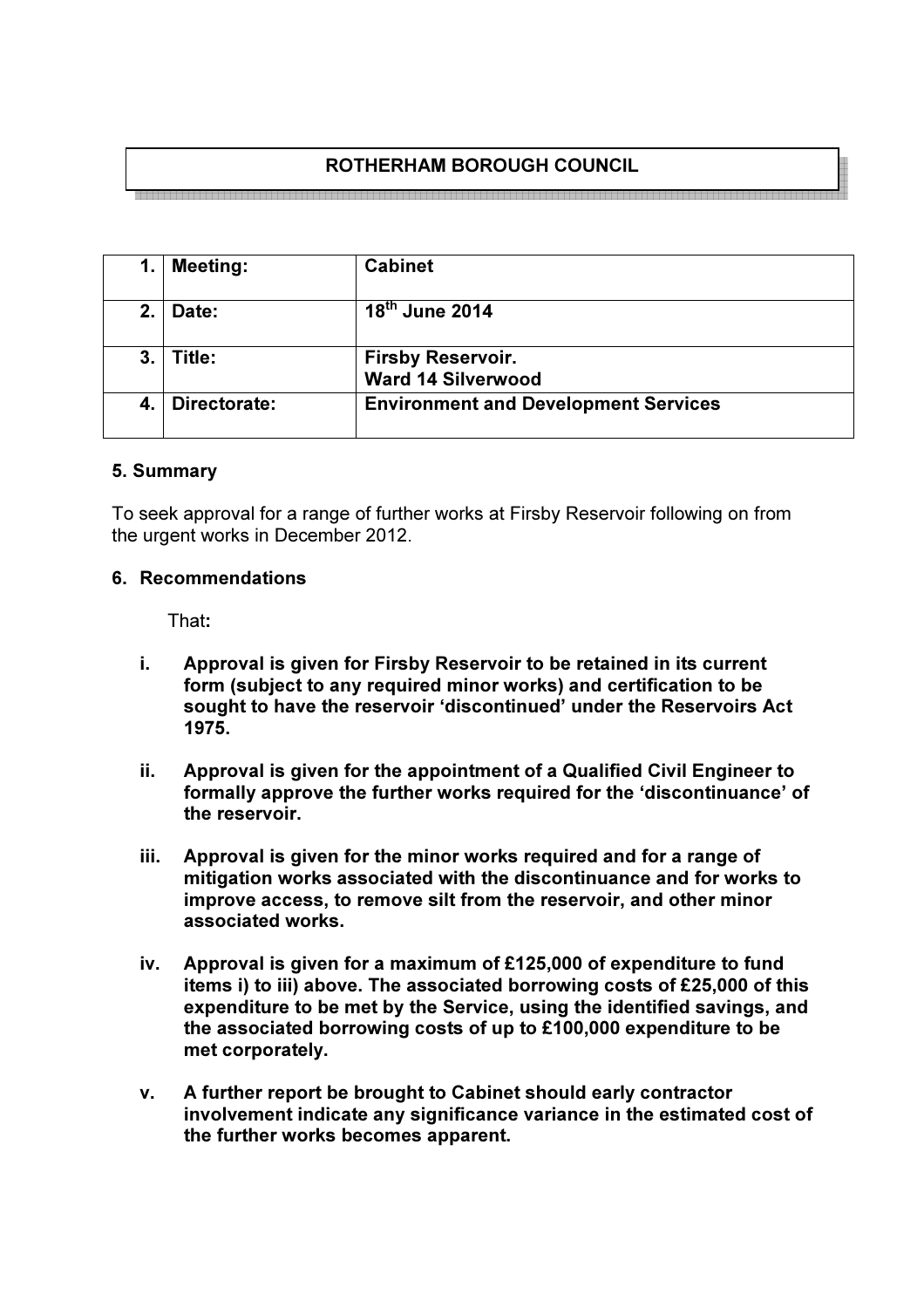# ROTHERHAM BOROUGH COUNCIL

1. Meeting: Cabinet 2. Date: 18<sup>th</sup> June 2014 3. Title: Firsby Reservoir. Ward 14 Silverwood 4. Directorate: Environment and Development Services

## 5. Summary

To seek approval for a range of further works at Firsby Reservoir following on from the urgent works in December 2012.

#### 6. Recommendations

That:

- i. Approval is given for Firsby Reservoir to be retained in its current form (subject to any required minor works) and certification to be sought to have the reservoir 'discontinued' under the Reservoirs Act 1975.
- ii. Approval is given for the appointment of a Qualified Civil Engineer to formally approve the further works required for the 'discontinuance' of the reservoir.
- iii. Approval is given for the minor works required and for a range of mitigation works associated with the discontinuance and for works to improve access, to remove silt from the reservoir, and other minor associated works.
- iv. Approval is given for a maximum of £125,000 of expenditure to fund items i) to iii) above. The associated borrowing costs of £25,000 of this expenditure to be met by the Service, using the identified savings, and the associated borrowing costs of up to £100,000 expenditure to be met corporately.
- v. A further report be brought to Cabinet should early contractor involvement indicate any significance variance in the estimated cost of the further works becomes apparent.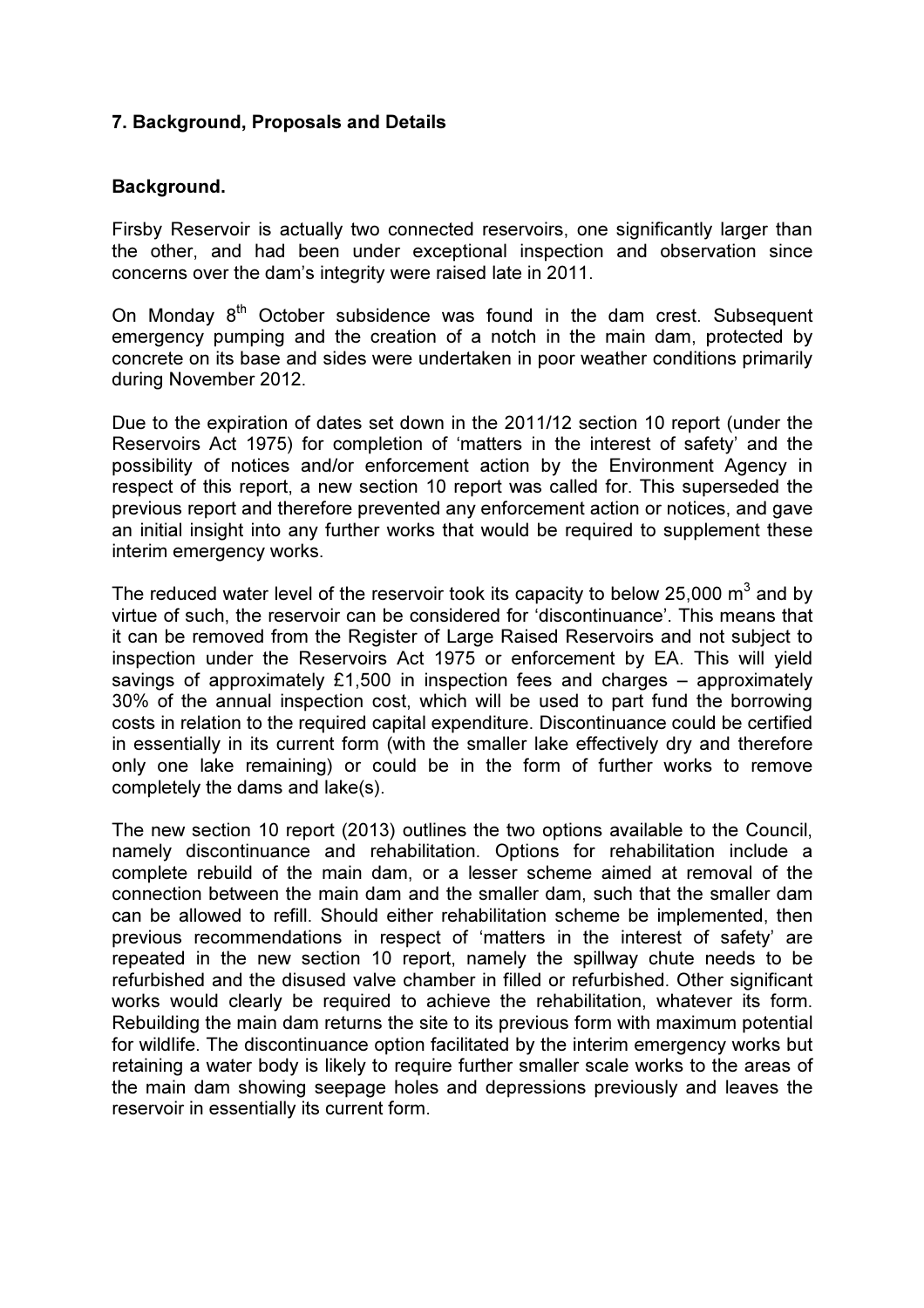## 7. Background, Proposals and Details

#### Background.

Firsby Reservoir is actually two connected reservoirs, one significantly larger than the other, and had been under exceptional inspection and observation since concerns over the dam's integrity were raised late in 2011.

On Monday  $8<sup>th</sup>$  October subsidence was found in the dam crest. Subsequent emergency pumping and the creation of a notch in the main dam, protected by concrete on its base and sides were undertaken in poor weather conditions primarily during November 2012.

Due to the expiration of dates set down in the 2011/12 section 10 report (under the Reservoirs Act 1975) for completion of 'matters in the interest of safety' and the possibility of notices and/or enforcement action by the Environment Agency in respect of this report, a new section 10 report was called for. This superseded the previous report and therefore prevented any enforcement action or notices, and gave an initial insight into any further works that would be required to supplement these interim emergency works.

The reduced water level of the reservoir took its capacity to below 25,000  $\text{m}^{3}$  and by virtue of such, the reservoir can be considered for 'discontinuance'. This means that it can be removed from the Register of Large Raised Reservoirs and not subject to inspection under the Reservoirs Act 1975 or enforcement by EA. This will yield savings of approximately £1,500 in inspection fees and charges – approximately 30% of the annual inspection cost, which will be used to part fund the borrowing costs in relation to the required capital expenditure. Discontinuance could be certified in essentially in its current form (with the smaller lake effectively dry and therefore only one lake remaining) or could be in the form of further works to remove completely the dams and lake(s).

The new section 10 report (2013) outlines the two options available to the Council, namely discontinuance and rehabilitation. Options for rehabilitation include a complete rebuild of the main dam, or a lesser scheme aimed at removal of the connection between the main dam and the smaller dam, such that the smaller dam can be allowed to refill. Should either rehabilitation scheme be implemented, then previous recommendations in respect of 'matters in the interest of safety' are repeated in the new section 10 report, namely the spillway chute needs to be refurbished and the disused valve chamber in filled or refurbished. Other significant works would clearly be required to achieve the rehabilitation, whatever its form. Rebuilding the main dam returns the site to its previous form with maximum potential for wildlife. The discontinuance option facilitated by the interim emergency works but retaining a water body is likely to require further smaller scale works to the areas of the main dam showing seepage holes and depressions previously and leaves the reservoir in essentially its current form.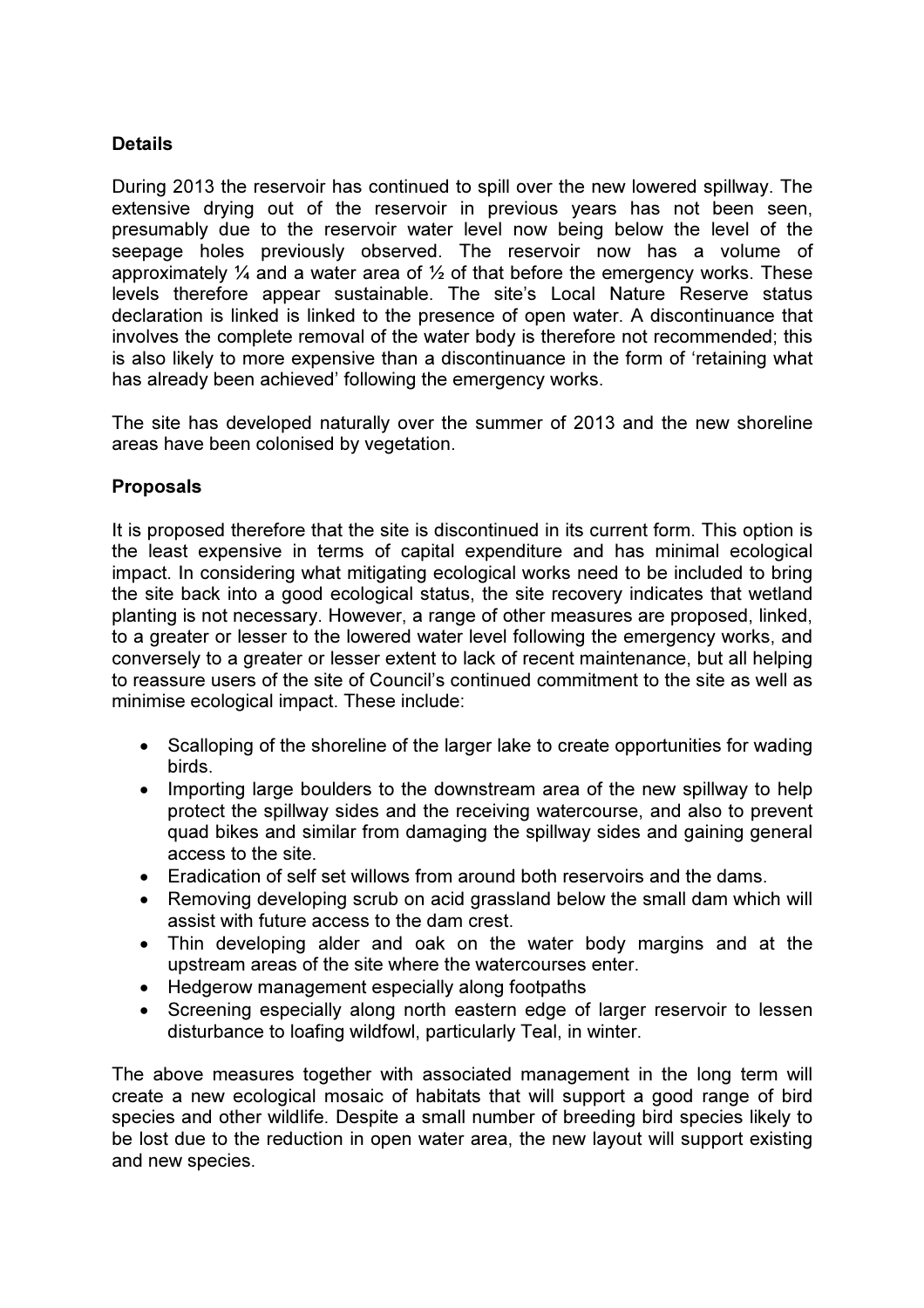## **Details**

During 2013 the reservoir has continued to spill over the new lowered spillway. The extensive drying out of the reservoir in previous years has not been seen, presumably due to the reservoir water level now being below the level of the seepage holes previously observed. The reservoir now has a volume of approximately  $\frac{1}{4}$  and a water area of  $\frac{1}{2}$  of that before the emergency works. These levels therefore appear sustainable. The site's Local Nature Reserve status declaration is linked is linked to the presence of open water. A discontinuance that involves the complete removal of the water body is therefore not recommended; this is also likely to more expensive than a discontinuance in the form of 'retaining what has already been achieved' following the emergency works.

The site has developed naturally over the summer of 2013 and the new shoreline areas have been colonised by vegetation.

#### Proposals

It is proposed therefore that the site is discontinued in its current form. This option is the least expensive in terms of capital expenditure and has minimal ecological impact. In considering what mitigating ecological works need to be included to bring the site back into a good ecological status, the site recovery indicates that wetland planting is not necessary. However, a range of other measures are proposed, linked, to a greater or lesser to the lowered water level following the emergency works, and conversely to a greater or lesser extent to lack of recent maintenance, but all helping to reassure users of the site of Council's continued commitment to the site as well as minimise ecological impact. These include:

- Scalloping of the shoreline of the larger lake to create opportunities for wading birds.
- Importing large boulders to the downstream area of the new spillway to help protect the spillway sides and the receiving watercourse, and also to prevent quad bikes and similar from damaging the spillway sides and gaining general access to the site.
- Eradication of self set willows from around both reservoirs and the dams.
- Removing developing scrub on acid grassland below the small dam which will assist with future access to the dam crest.
- Thin developing alder and oak on the water body margins and at the upstream areas of the site where the watercourses enter.
- Hedgerow management especially along footpaths
- Screening especially along north eastern edge of larger reservoir to lessen disturbance to loafing wildfowl, particularly Teal, in winter.

The above measures together with associated management in the long term will create a new ecological mosaic of habitats that will support a good range of bird species and other wildlife. Despite a small number of breeding bird species likely to be lost due to the reduction in open water area, the new layout will support existing and new species.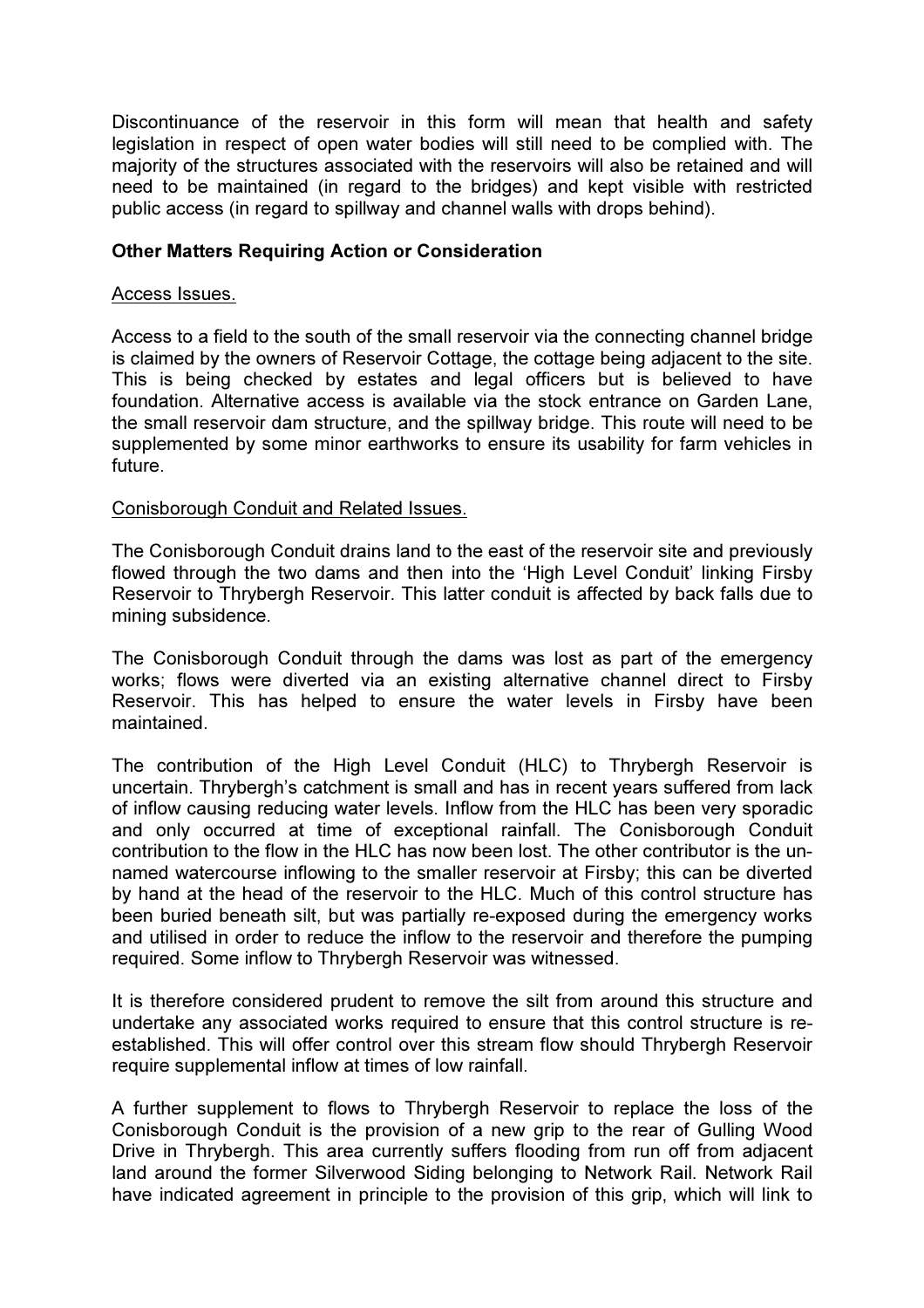Discontinuance of the reservoir in this form will mean that health and safety legislation in respect of open water bodies will still need to be complied with. The majority of the structures associated with the reservoirs will also be retained and will need to be maintained (in regard to the bridges) and kept visible with restricted public access (in regard to spillway and channel walls with drops behind).

#### Other Matters Requiring Action or Consideration

#### Access Issues.

Access to a field to the south of the small reservoir via the connecting channel bridge is claimed by the owners of Reservoir Cottage, the cottage being adjacent to the site. This is being checked by estates and legal officers but is believed to have foundation. Alternative access is available via the stock entrance on Garden Lane, the small reservoir dam structure, and the spillway bridge. This route will need to be supplemented by some minor earthworks to ensure its usability for farm vehicles in future.

#### Conisborough Conduit and Related Issues.

The Conisborough Conduit drains land to the east of the reservoir site and previously flowed through the two dams and then into the 'High Level Conduit' linking Firsby Reservoir to Thrybergh Reservoir. This latter conduit is affected by back falls due to mining subsidence.

The Conisborough Conduit through the dams was lost as part of the emergency works; flows were diverted via an existing alternative channel direct to Firsby Reservoir. This has helped to ensure the water levels in Firsby have been maintained.

The contribution of the High Level Conduit (HLC) to Thrybergh Reservoir is uncertain. Thrybergh's catchment is small and has in recent years suffered from lack of inflow causing reducing water levels. Inflow from the HLC has been very sporadic and only occurred at time of exceptional rainfall. The Conisborough Conduit contribution to the flow in the HLC has now been lost. The other contributor is the unnamed watercourse inflowing to the smaller reservoir at Firsby; this can be diverted by hand at the head of the reservoir to the HLC. Much of this control structure has been buried beneath silt, but was partially re-exposed during the emergency works and utilised in order to reduce the inflow to the reservoir and therefore the pumping required. Some inflow to Thrybergh Reservoir was witnessed.

It is therefore considered prudent to remove the silt from around this structure and undertake any associated works required to ensure that this control structure is reestablished. This will offer control over this stream flow should Thrybergh Reservoir require supplemental inflow at times of low rainfall.

A further supplement to flows to Thrybergh Reservoir to replace the loss of the Conisborough Conduit is the provision of a new grip to the rear of Gulling Wood Drive in Thrybergh. This area currently suffers flooding from run off from adjacent land around the former Silverwood Siding belonging to Network Rail. Network Rail have indicated agreement in principle to the provision of this grip, which will link to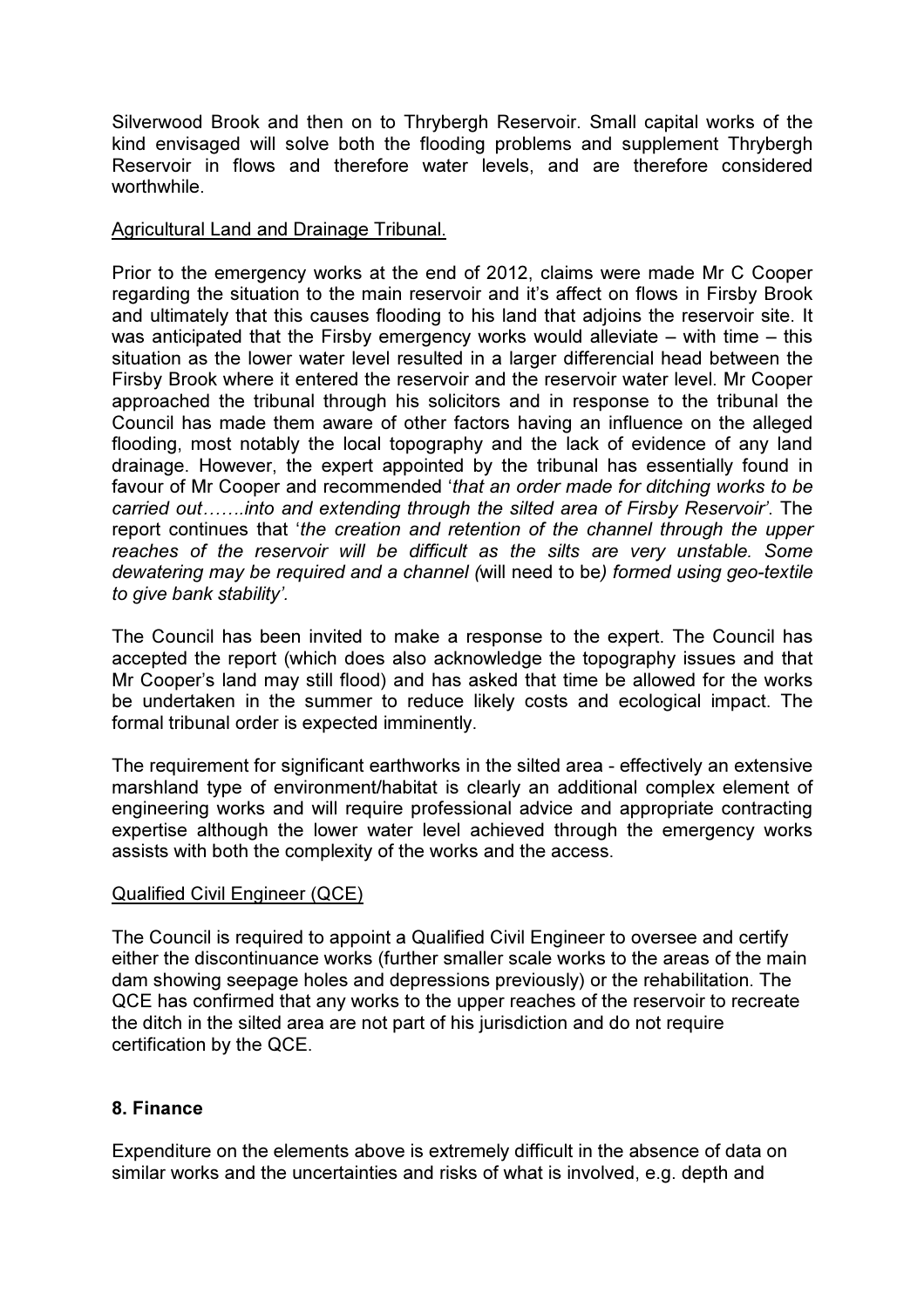Silverwood Brook and then on to Thrybergh Reservoir. Small capital works of the kind envisaged will solve both the flooding problems and supplement Thrybergh Reservoir in flows and therefore water levels, and are therefore considered worthwhile.

#### Agricultural Land and Drainage Tribunal.

Prior to the emergency works at the end of 2012, claims were made Mr C Cooper regarding the situation to the main reservoir and it's affect on flows in Firsby Brook and ultimately that this causes flooding to his land that adjoins the reservoir site. It was anticipated that the Firsby emergency works would alleviate – with time – this situation as the lower water level resulted in a larger differencial head between the Firsby Brook where it entered the reservoir and the reservoir water level. Mr Cooper approached the tribunal through his solicitors and in response to the tribunal the Council has made them aware of other factors having an influence on the alleged flooding, most notably the local topography and the lack of evidence of any land drainage. However, the expert appointed by the tribunal has essentially found in favour of Mr Cooper and recommended 'that an order made for ditching works to be carried out…….into and extending through the silted area of Firsby Reservoir'. The report continues that 'the creation and retention of the channel through the upper reaches of the reservoir will be difficult as the silts are very unstable. Some dewatering may be required and a channel (will need to be) formed using geo-textile to give bank stability'.

The Council has been invited to make a response to the expert. The Council has accepted the report (which does also acknowledge the topography issues and that Mr Cooper's land may still flood) and has asked that time be allowed for the works be undertaken in the summer to reduce likely costs and ecological impact. The formal tribunal order is expected imminently.

The requirement for significant earthworks in the silted area - effectively an extensive marshland type of environment/habitat is clearly an additional complex element of engineering works and will require professional advice and appropriate contracting expertise although the lower water level achieved through the emergency works assists with both the complexity of the works and the access.

#### Qualified Civil Engineer (QCE)

The Council is required to appoint a Qualified Civil Engineer to oversee and certify either the discontinuance works (further smaller scale works to the areas of the main dam showing seepage holes and depressions previously) or the rehabilitation. The QCE has confirmed that any works to the upper reaches of the reservoir to recreate the ditch in the silted area are not part of his jurisdiction and do not require certification by the QCE.

#### 8. Finance

Expenditure on the elements above is extremely difficult in the absence of data on similar works and the uncertainties and risks of what is involved, e.g. depth and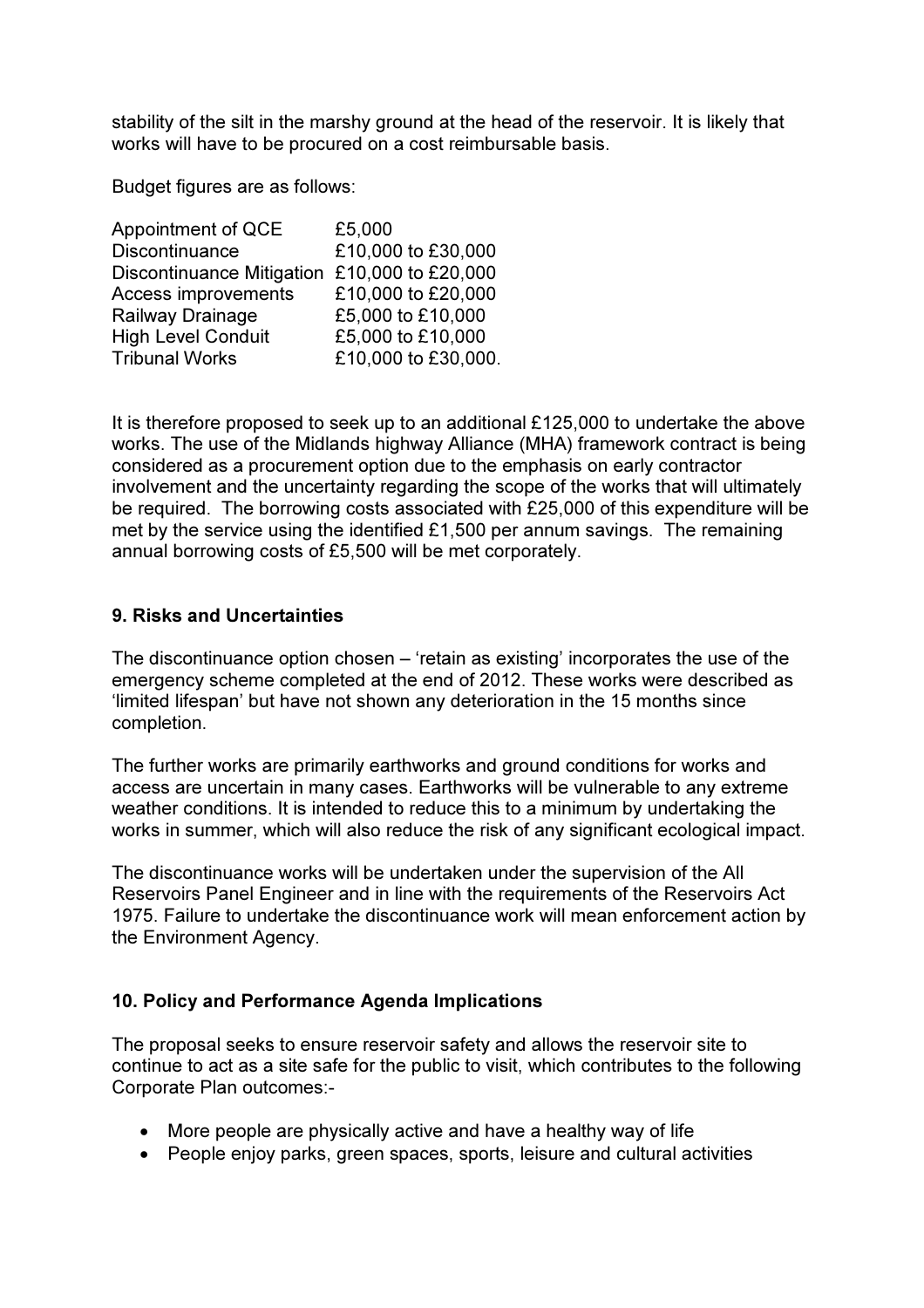stability of the silt in the marshy ground at the head of the reservoir. It is likely that works will have to be procured on a cost reimbursable basis.

Budget figures are as follows:

| Appointment of QCE               | £5,000              |
|----------------------------------|---------------------|
| Discontinuance                   | £10,000 to £30,000  |
| <b>Discontinuance Mitigation</b> | £10,000 to £20,000  |
| Access improvements              | £10,000 to £20,000  |
| Railway Drainage                 | £5,000 to £10,000   |
| <b>High Level Conduit</b>        | £5,000 to £10,000   |
| <b>Tribunal Works</b>            | £10,000 to £30,000. |

It is therefore proposed to seek up to an additional £125,000 to undertake the above works. The use of the Midlands highway Alliance (MHA) framework contract is being considered as a procurement option due to the emphasis on early contractor involvement and the uncertainty regarding the scope of the works that will ultimately be required. The borrowing costs associated with £25,000 of this expenditure will be met by the service using the identified £1,500 per annum savings. The remaining annual borrowing costs of £5,500 will be met corporately.

#### 9. Risks and Uncertainties

The discontinuance option chosen – 'retain as existing' incorporates the use of the emergency scheme completed at the end of 2012. These works were described as 'limited lifespan' but have not shown any deterioration in the 15 months since completion.

The further works are primarily earthworks and ground conditions for works and access are uncertain in many cases. Earthworks will be vulnerable to any extreme weather conditions. It is intended to reduce this to a minimum by undertaking the works in summer, which will also reduce the risk of any significant ecological impact.

The discontinuance works will be undertaken under the supervision of the All Reservoirs Panel Engineer and in line with the requirements of the Reservoirs Act 1975. Failure to undertake the discontinuance work will mean enforcement action by the Environment Agency.

#### 10. Policy and Performance Agenda Implications

The proposal seeks to ensure reservoir safety and allows the reservoir site to continue to act as a site safe for the public to visit, which contributes to the following Corporate Plan outcomes:-

- More people are physically active and have a healthy way of life
- People enjoy parks, green spaces, sports, leisure and cultural activities